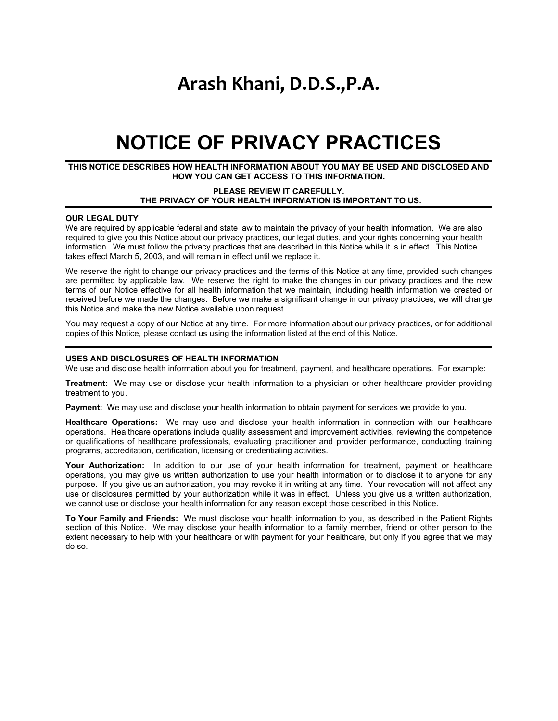# **Arash Khani, D.D.S.,P.A.**

# **NOTICE OF PRIVACY PRACTICES**

# **THIS NOTICE DESCRIBES HOW HEALTH INFORMATION ABOUT YOU MAY BE USED AND DISCLOSED AND HOW YOU CAN GET ACCESS TO THIS INFORMATION.**

#### **PLEASE REVIEW IT CAREFULLY. THE PRIVACY OF YOUR HEALTH INFORMATION IS IMPORTANT TO US.**

## **OUR LEGAL DUTY**

We are required by applicable federal and state law to maintain the privacy of your health information. We are also required to give you this Notice about our privacy practices, our legal duties, and your rights concerning your health information. We must follow the privacy practices that are described in this Notice while it is in effect. This Notice takes effect March 5, 2003, and will remain in effect until we replace it.

We reserve the right to change our privacy practices and the terms of this Notice at any time, provided such changes are permitted by applicable law. We reserve the right to make the changes in our privacy practices and the new terms of our Notice effective for all health information that we maintain, including health information we created or received before we made the changes. Before we make a significant change in our privacy practices, we will change this Notice and make the new Notice available upon request.

You may request a copy of our Notice at any time. For more information about our privacy practices, or for additional copies of this Notice, please contact us using the information listed at the end of this Notice.

#### **USES AND DISCLOSURES OF HEALTH INFORMATION**

We use and disclose health information about you for treatment, payment, and healthcare operations. For example:

**Treatment:** We may use or disclose your health information to a physician or other healthcare provider providing treatment to you.

**Payment:** We may use and disclose your health information to obtain payment for services we provide to you.

**Healthcare Operations:** We may use and disclose your health information in connection with our healthcare operations. Healthcare operations include quality assessment and improvement activities, reviewing the competence or qualifications of healthcare professionals, evaluating practitioner and provider performance, conducting training programs, accreditation, certification, licensing or credentialing activities.

**Your Authorization:** In addition to our use of your health information for treatment, payment or healthcare operations, you may give us written authorization to use your health information or to disclose it to anyone for any purpose. If you give us an authorization, you may revoke it in writing at any time. Your revocation will not affect any use or disclosures permitted by your authorization while it was in effect. Unless you give us a written authorization, we cannot use or disclose your health information for any reason except those described in this Notice.

**To Your Family and Friends:** We must disclose your health information to you, as described in the Patient Rights section of this Notice. We may disclose your health information to a family member, friend or other person to the extent necessary to help with your healthcare or with payment for your healthcare, but only if you agree that we may do so.